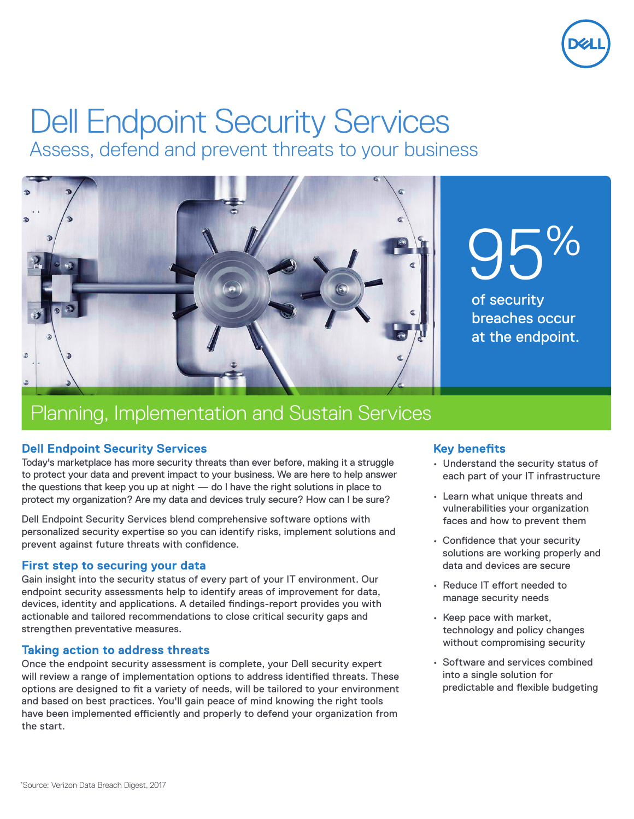

# Dell Endpoint Security Services

Assess, defend and prevent threats to your business



## Planning, Implementation and Sustain Services

#### **Dell Endpoint Security Services**

Today's marketplace has more security threats than ever before, making it a struggle to protect your data and prevent impact to your business. We are here to help answer the questions that keep you up at night — do I have the right solutions in place to protect my organization? Are my data and devices truly secure? How can I be sure?

Dell Endpoint Security Services blend comprehensive software options with personalized security expertise so you can identify risks, implement solutions and prevent against future threats with confidence.

#### **First step to securing your data**

Gain insight into the security status of every part of your IT environment. Our endpoint security assessments help to identify areas of improvement for data, devices, identity and applications. A detailed findings-report provides you with actionable and tailored recommendations to close critical security gaps and strengthen preventative measures.

#### **Taking action to address threats**

Once the endpoint security assessment is complete, your Dell security expert will review a range of implementation options to address identified threats. These options are designed to fit a variety of needs, will be tailored to your environment and based on best practices. You'll gain peace of mind knowing the right tools have been implemented efficiently and properly to defend your organization from the start.

#### **Key benefits**

- Understand the security status of each part of your IT infrastructure
- Learn what unique threats and vulnerabilities your organization faces and how to prevent them
- Confidence that your security solutions are working properly and data and devices are secure
- Reduce IT effort needed to manage security needs
- Keep pace with market, technology and policy changes without compromising security
- Software and services combined into a single solution for predictable and flexible budgeting